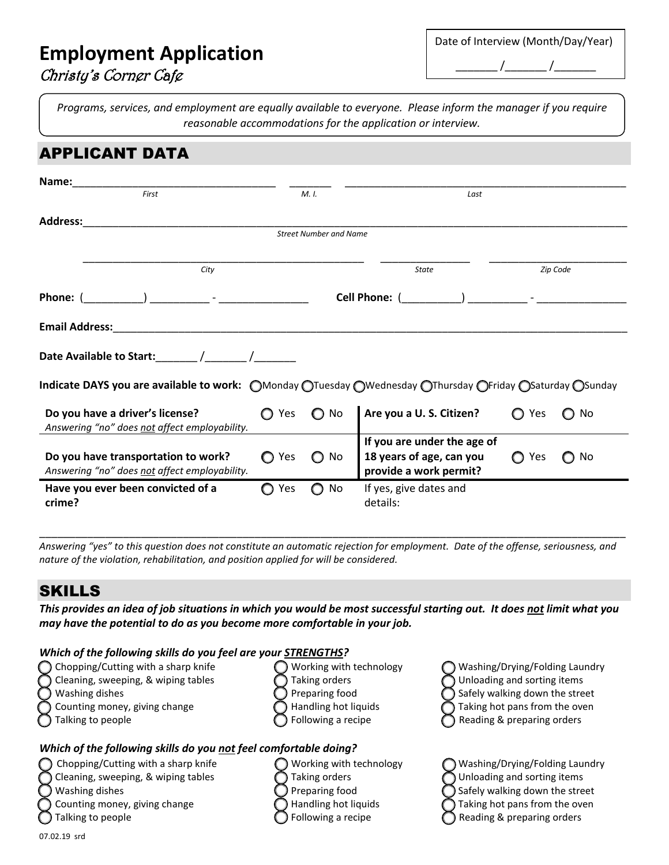# **Employment Application**

| Christy's Corner Cafe |  |
|-----------------------|--|
|                       |  |

| Date of Interview (Month/Day/Year) |  |
|------------------------------------|--|
|                                    |  |

*Programs, services, and employment are equally available to everyone. Please inform the manager if you require reasonable accommodations for the application or interview.*

| <b>APPLICANT DATA</b>                                                                                    |       |                               |                                                                                   |               |                 |
|----------------------------------------------------------------------------------------------------------|-------|-------------------------------|-----------------------------------------------------------------------------------|---------------|-----------------|
| Name:<br>First                                                                                           |       | M. I.                         | Last                                                                              |               |                 |
| Address:                                                                                                 |       |                               |                                                                                   |               |                 |
|                                                                                                          |       | <b>Street Number and Name</b> |                                                                                   |               |                 |
| City                                                                                                     |       |                               | State                                                                             | Zip Code      |                 |
|                                                                                                          |       |                               |                                                                                   |               |                 |
|                                                                                                          |       |                               |                                                                                   |               |                 |
|                                                                                                          |       |                               |                                                                                   |               |                 |
| Indicate DAYS you are available to work: OMonday OTuesday OWednesday OThursday OFriday OSaturday OSunday |       |                               |                                                                                   |               |                 |
| Do you have a driver's license?<br>Answering "no" does not affect employability.                         | ◯ Yes | $\bigcirc$ No                 | Are you a U. S. Citizen?                                                          | ◯ Yes         | No<br>O         |
| Do you have transportation to work?<br>Answering "no" does not affect employability.                     | ◯ Yes | No<br>$\bigcap$               | If you are under the age of<br>18 years of age, can you<br>provide a work permit? | Yes<br>$\cap$ | No<br>$\bigcap$ |
| Have you ever been convicted of a<br>crime?                                                              | ◯ Yes | $\bigcirc$ No                 | If yes, give dates and<br>details:                                                |               |                 |

*Answering "yes" to this question does not constitute an automatic rejection for employment. Date of the offense, seriousness, and nature of the violation, rehabilitation, and position applied for will be considered.*

\_\_\_\_\_\_\_\_\_\_\_\_\_\_\_\_\_\_\_\_\_\_\_\_\_\_\_\_\_\_\_\_\_\_\_\_\_\_\_\_\_\_\_\_\_\_\_\_\_\_\_\_\_\_\_\_\_\_\_\_\_\_\_\_\_\_\_\_\_\_\_\_\_\_\_\_\_\_\_\_\_\_\_\_\_\_\_\_\_\_\_\_\_\_\_\_\_\_

## SKILLS

*This provides an idea of job situations in which you would be most successful starting out. It does not limit what you may have the potential to do as you become more comfortable in your job.* 

#### *Which of the following skills do you feel are your STRENGTHS?*

| Chopping/Cutting with a sharp knife |    |
|-------------------------------------|----|
| Cleaning, sweeping, & wiping tables | Та |
| Washing dishes                      | Pr |
| Counting money, giving change       | ٦a |
| Talking to people                   | Fo |
|                                     |    |
|                                     |    |

- 
- Chopping/Cutting with a sharp knife  $\bigcap$  Working with technology  $\bigcap$  Washing/Drying/Folding Laundry Cleaning, sweeping, & wiping tables  $\bigcap$  Taking orders  $\bigcap$  Unloading and sorting items Washing dishes  $\bigcirc$  Preparing food  $\bigcirc$  Safely walking down the street
- -
- 
- 

#### *Which of the following skills do you not feel comfortable doing?*

- -
	-
	-
	-
- 'orking with technology ◯ Washing/Drying/Folding Laundry  $\log$  Cleaning, orders  $\log$  Unloading and sorting items eparing food  $\bigcirc$  Safely walking down the street  $\Box$  Indling hot liquids  $\Box$  Taking hot pans from the oven  $\bigcap$  Reading & preparing orders
- Counting money, giving change  $\bigcirc$  Handling hot liquids  $\bigcirc$  Taking hot pans from the oven Talking to people  $\bigcirc$  Following a recipe  $\bigcirc$  Reading & preparing orders